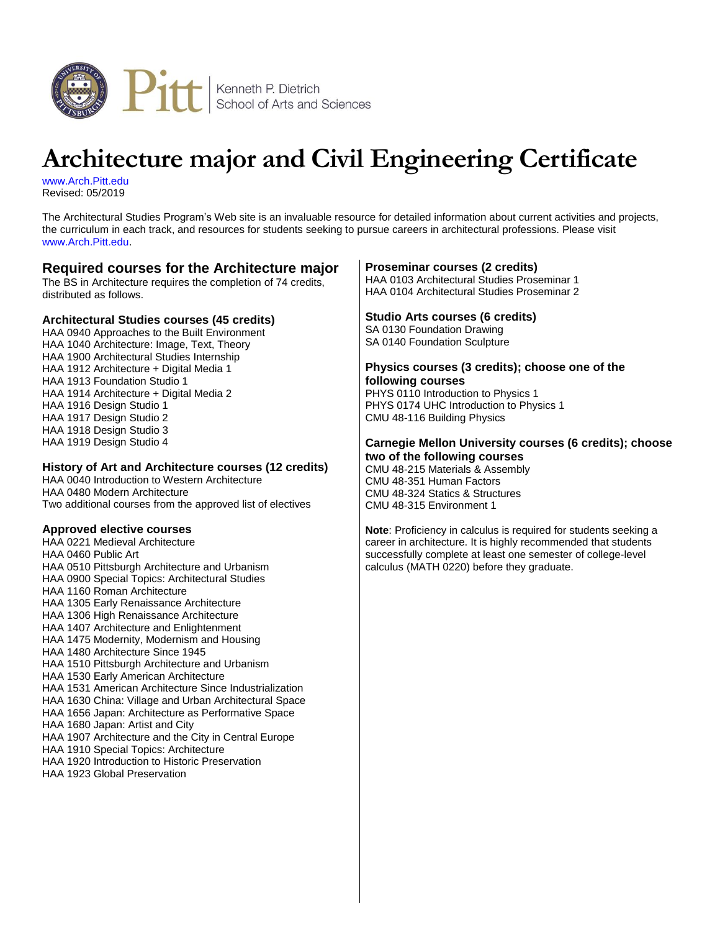

# **Architecture major and Civil Engineering Certificate**

[www.Arch.Pitt.edu](http://www.haa.pitt.edu/undergraduate/architectural.html) Revised: 05/2019

The Architectural Studies Program's Web site is an invaluable resource for detailed information about current activities and projects, the curriculum in each track, and resources for students seeking to pursue careers in architectural professions. Please visit [www.Arch.Pitt.edu.](http://www.arch.pitt.edu/)

## **Required courses for the Architecture major**

The BS in Architecture requires the completion of 74 credits, distributed as follows.

## **Architectural Studies courses (45 credits)**

HAA 0940 Approaches to the Built Environment HAA 1040 Architecture: Image, Text, Theory HAA 1900 Architectural Studies Internship HAA 1912 Architecture + Digital Media 1 HAA 1913 Foundation Studio 1 HAA 1914 Architecture + Digital Media 2 HAA 1916 Design Studio 1 HAA 1917 Design Studio 2 HAA 1918 Design Studio 3 HAA 1919 Design Studio 4

## **History of Art and Architecture courses (12 credits)**

HAA 0040 Introduction to Western Architecture HAA 0480 Modern Architecture Two additional courses from the approved list of electives

#### **Approved elective courses**

HAA 0221 Medieval Architecture HAA 0460 Public Art HAA 0510 Pittsburgh Architecture and Urbanism HAA 0900 Special Topics: Architectural Studies HAA 1160 Roman Architecture HAA 1305 Early Renaissance Architecture HAA 1306 High Renaissance Architecture HAA 1407 Architecture and Enlightenment HAA 1475 Modernity, Modernism and Housing HAA 1480 Architecture Since 1945 HAA 1510 Pittsburgh Architecture and Urbanism HAA 1530 Early American Architecture HAA 1531 American Architecture Since Industrialization HAA 1630 China: Village and Urban Architectural Space HAA 1656 Japan: Architecture as Performative Space HAA 1680 Japan: Artist and City HAA 1907 Architecture and the City in Central Europe HAA 1910 Special Topics: Architecture HAA 1920 Introduction to Historic Preservation

#### HAA 1923 Global Preservation

#### **Proseminar courses (2 credits)**

HAA 0103 Architectural Studies Proseminar 1 HAA 0104 Architectural Studies Proseminar 2

## **Studio Arts courses (6 credits)**

SA 0130 Foundation Drawing SA 0140 Foundation Sculpture

# **Physics courses (3 credits); choose one of the following courses**

PHYS 0110 Introduction to Physics 1 PHYS 0174 UHC Introduction to Physics 1 CMU 48-116 Building Physics

#### **Carnegie Mellon University courses (6 credits); choose two of the following courses**

CMU 48-215 Materials & Assembly CMU 48-351 Human Factors CMU 48-324 Statics & Structures CMU 48-315 Environment 1

**Note**: Proficiency in calculus is required for students seeking a career in architecture. It is highly recommended that students successfully complete at least one semester of college-level calculus (MATH 0220) before they graduate.